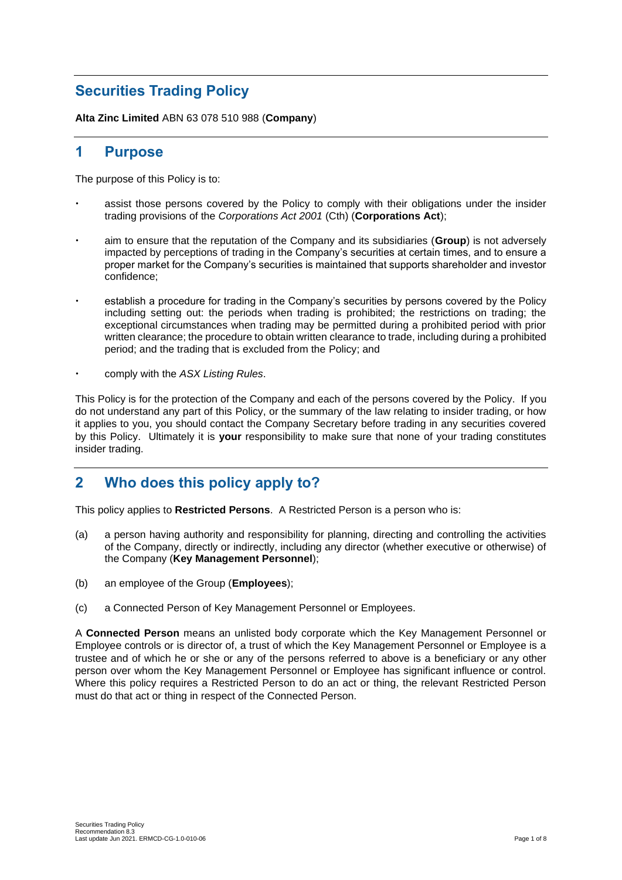# **Securities Trading Policy**

**Alta Zinc Limited** ABN 63 078 510 988 (**Company**)

### **1 Purpose**

The purpose of this Policy is to:

- assist those persons covered by the Policy to comply with their obligations under the insider trading provisions of the *Corporations Act 2001* (Cth) (**Corporations Act**);
- aim to ensure that the reputation of the Company and its subsidiaries (**Group**) is not adversely impacted by perceptions of trading in the Company's securities at certain times, and to ensure a proper market for the Company's securities is maintained that supports shareholder and investor confidence;
- establish a procedure for trading in the Company's securities by persons covered by the Policy including setting out: the periods when trading is prohibited; the restrictions on trading; the exceptional circumstances when trading may be permitted during a prohibited period with prior written clearance; the procedure to obtain written clearance to trade, including during a prohibited period; and the trading that is excluded from the Policy; and
- comply with the *ASX Listing Rules*.

This Policy is for the protection of the Company and each of the persons covered by the Policy. If you do not understand any part of this Policy, or the summary of the law relating to insider trading, or how it applies to you, you should contact the Company Secretary before trading in any securities covered by this Policy. Ultimately it is **your** responsibility to make sure that none of your trading constitutes insider trading.

## **2 Who does this policy apply to?**

This policy applies to **Restricted Persons**. A Restricted Person is a person who is:

- (a) a person having authority and responsibility for planning, directing and controlling the activities of the Company, directly or indirectly, including any director (whether executive or otherwise) of the Company (**Key Management Personnel**);
- (b) an employee of the Group (**Employees**);
- (c) a Connected Person of Key Management Personnel or Employees.

A **Connected Person** means an unlisted body corporate which the Key Management Personnel or Employee controls or is director of, a trust of which the Key Management Personnel or Employee is a trustee and of which he or she or any of the persons referred to above is a beneficiary or any other person over whom the Key Management Personnel or Employee has significant influence or control. Where this policy requires a Restricted Person to do an act or thing, the relevant Restricted Person must do that act or thing in respect of the Connected Person.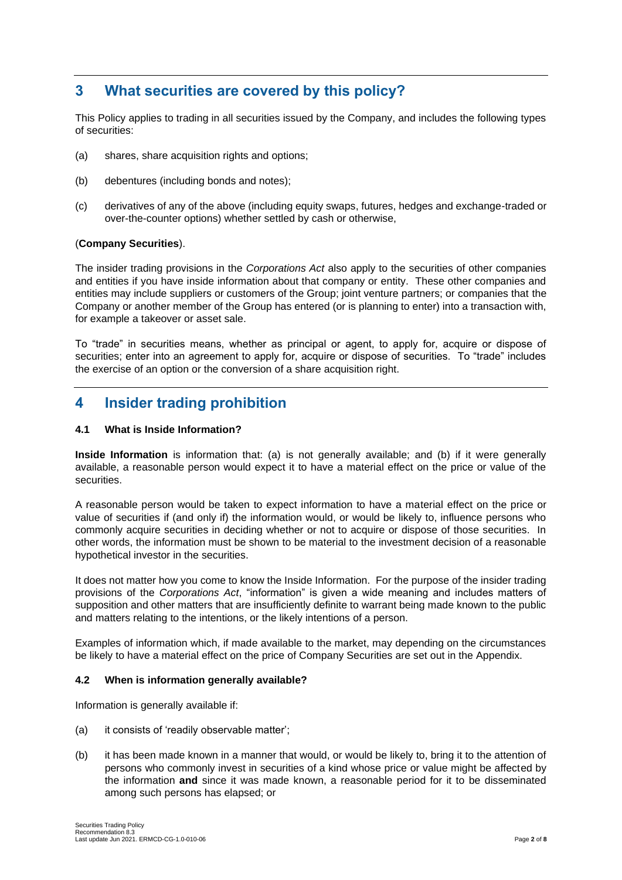## **3 What securities are covered by this policy?**

This Policy applies to trading in all securities issued by the Company, and includes the following types of securities:

- (a) shares, share acquisition rights and options;
- (b) debentures (including bonds and notes);
- (c) derivatives of any of the above (including equity swaps, futures, hedges and exchange-traded or over-the-counter options) whether settled by cash or otherwise,

#### (**Company Securities**).

The insider trading provisions in the *Corporations Act* also apply to the securities of other companies and entities if you have inside information about that company or entity. These other companies and entities may include suppliers or customers of the Group; joint venture partners; or companies that the Company or another member of the Group has entered (or is planning to enter) into a transaction with, for example a takeover or asset sale.

To "trade" in securities means, whether as principal or agent, to apply for, acquire or dispose of securities; enter into an agreement to apply for, acquire or dispose of securities. To "trade" includes the exercise of an option or the conversion of a share acquisition right.

## **4 Insider trading prohibition**

#### **4.1 What is Inside Information?**

**Inside Information** is information that: (a) is not generally available; and (b) if it were generally available, a reasonable person would expect it to have a material effect on the price or value of the securities.

A reasonable person would be taken to expect information to have a material effect on the price or value of securities if (and only if) the information would, or would be likely to, influence persons who commonly acquire securities in deciding whether or not to acquire or dispose of those securities. In other words, the information must be shown to be material to the investment decision of a reasonable hypothetical investor in the securities.

It does not matter how you come to know the Inside Information. For the purpose of the insider trading provisions of the *Corporations Act*, "information" is given a wide meaning and includes matters of supposition and other matters that are insufficiently definite to warrant being made known to the public and matters relating to the intentions, or the likely intentions of a person.

Examples of information which, if made available to the market, may depending on the circumstances be likely to have a material effect on the price of Company Securities are set out in the Appendix.

#### **4.2 When is information generally available?**

Information is generally available if:

- (a) it consists of 'readily observable matter';
- (b) it has been made known in a manner that would, or would be likely to, bring it to the attention of persons who commonly invest in securities of a kind whose price or value might be affected by the information **and** since it was made known, a reasonable period for it to be disseminated among such persons has elapsed; or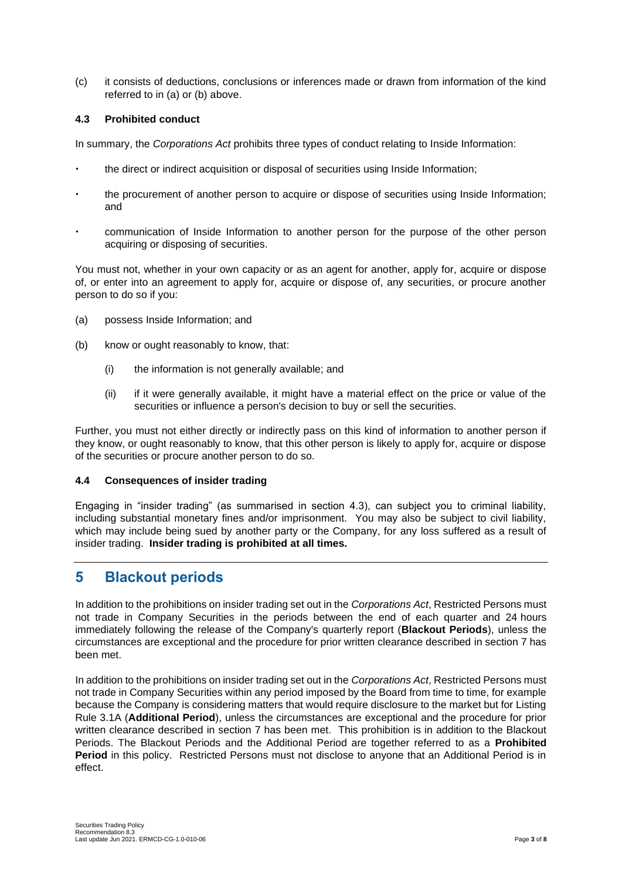(c) it consists of deductions, conclusions or inferences made or drawn from information of the kind referred to in (a) or (b) above.

#### **4.3 Prohibited conduct**

In summary, the *Corporations Act* prohibits three types of conduct relating to Inside Information:

- the direct or indirect acquisition or disposal of securities using Inside Information;
- the procurement of another person to acquire or dispose of securities using Inside Information; and
- communication of Inside Information to another person for the purpose of the other person acquiring or disposing of securities.

You must not, whether in your own capacity or as an agent for another, apply for, acquire or dispose of, or enter into an agreement to apply for, acquire or dispose of, any securities, or procure another person to do so if you:

- (a) possess Inside Information; and
- (b) know or ought reasonably to know, that:
	- (i) the information is not generally available; and
	- (ii) if it were generally available, it might have a material effect on the price or value of the securities or influence a person's decision to buy or sell the securities.

Further, you must not either directly or indirectly pass on this kind of information to another person if they know, or ought reasonably to know, that this other person is likely to apply for, acquire or dispose of the securities or procure another person to do so.

#### **4.4 Consequences of insider trading**

Engaging in "insider trading" (as summarised in section 4.3), can subject you to criminal liability, including substantial monetary fines and/or imprisonment. You may also be subject to civil liability, which may include being sued by another party or the Company, for any loss suffered as a result of insider trading. **Insider trading is prohibited at all times.**

## **5 Blackout periods**

In addition to the prohibitions on insider trading set out in the *Corporations Act*, Restricted Persons must not trade in Company Securities in the periods between the end of each quarter and 24 hours immediately following the release of the Company's quarterly report (**Blackout Periods**), unless the circumstances are exceptional and the procedure for prior written clearance described in section 7 has been met.

In addition to the prohibitions on insider trading set out in the *Corporations Act*, Restricted Persons must not trade in Company Securities within any period imposed by the Board from time to time, for example because the Company is considering matters that would require disclosure to the market but for Listing Rule 3.1A (**Additional Period**), unless the circumstances are exceptional and the procedure for prior written clearance described in section 7 has been met. This prohibition is in addition to the Blackout Periods. The Blackout Periods and the Additional Period are together referred to as a **Prohibited Period** in this policy. Restricted Persons must not disclose to anyone that an Additional Period is in effect.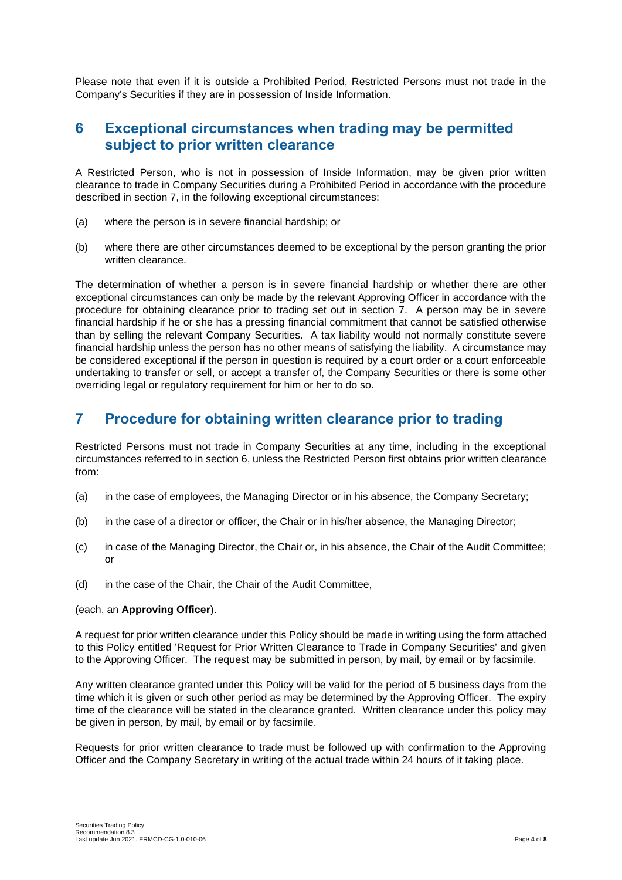Please note that even if it is outside a Prohibited Period, Restricted Persons must not trade in the Company's Securities if they are in possession of Inside Information.

### **6 Exceptional circumstances when trading may be permitted subject to prior written clearance**

A Restricted Person, who is not in possession of Inside Information, may be given prior written clearance to trade in Company Securities during a Prohibited Period in accordance with the procedure described in section 7, in the following exceptional circumstances:

- (a) where the person is in severe financial hardship; or
- (b) where there are other circumstances deemed to be exceptional by the person granting the prior written clearance.

The determination of whether a person is in severe financial hardship or whether there are other exceptional circumstances can only be made by the relevant Approving Officer in accordance with the procedure for obtaining clearance prior to trading set out in section 7. A person may be in severe financial hardship if he or she has a pressing financial commitment that cannot be satisfied otherwise than by selling the relevant Company Securities. A tax liability would not normally constitute severe financial hardship unless the person has no other means of satisfying the liability. A circumstance may be considered exceptional if the person in question is required by a court order or a court enforceable undertaking to transfer or sell, or accept a transfer of, the Company Securities or there is some other overriding legal or regulatory requirement for him or her to do so.

### **7 Procedure for obtaining written clearance prior to trading**

Restricted Persons must not trade in Company Securities at any time, including in the exceptional circumstances referred to in section 6, unless the Restricted Person first obtains prior written clearance from:

- (a) in the case of employees, the Managing Director or in his absence, the Company Secretary;
- (b) in the case of a director or officer, the Chair or in his/her absence, the Managing Director;
- (c) in case of the Managing Director, the Chair or, in his absence, the Chair of the Audit Committee; or
- (d) in the case of the Chair, the Chair of the Audit Committee,

#### (each, an **Approving Officer**).

A request for prior written clearance under this Policy should be made in writing using the form attached to this Policy entitled 'Request for Prior Written Clearance to Trade in Company Securities' and given to the Approving Officer. The request may be submitted in person, by mail, by email or by facsimile.

Any written clearance granted under this Policy will be valid for the period of 5 business days from the time which it is given or such other period as may be determined by the Approving Officer. The expiry time of the clearance will be stated in the clearance granted. Written clearance under this policy may be given in person, by mail, by email or by facsimile.

Requests for prior written clearance to trade must be followed up with confirmation to the Approving Officer and the Company Secretary in writing of the actual trade within 24 hours of it taking place.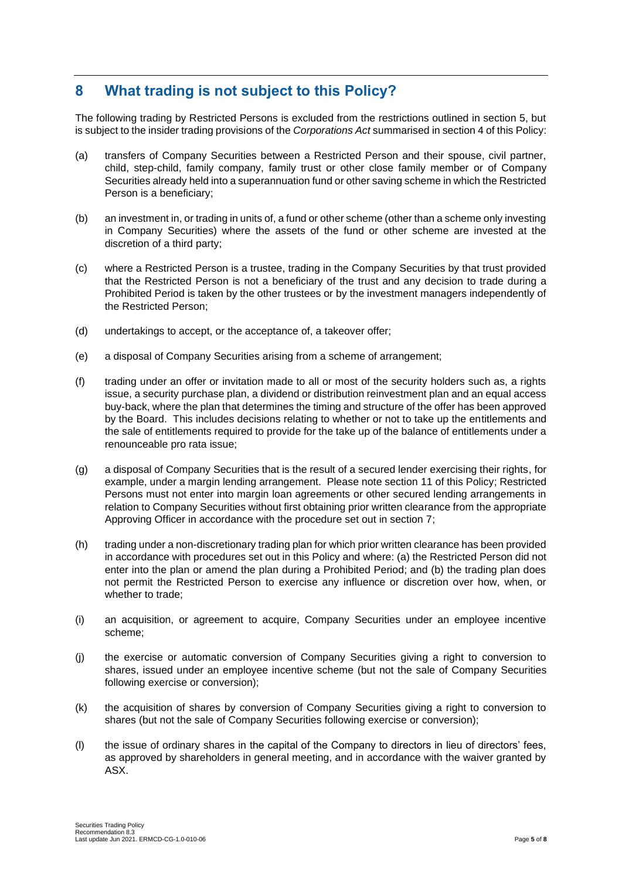## **8 What trading is not subject to this Policy?**

The following trading by Restricted Persons is excluded from the restrictions outlined in section 5, but is subject to the insider trading provisions of the *Corporations Act* summarised in section 4 of this Policy:

- (a) transfers of Company Securities between a Restricted Person and their spouse, civil partner, child, step-child, family company, family trust or other close family member or of Company Securities already held into a superannuation fund or other saving scheme in which the Restricted Person is a beneficiary;
- (b) an investment in, or trading in units of, a fund or other scheme (other than a scheme only investing in Company Securities) where the assets of the fund or other scheme are invested at the discretion of a third party;
- (c) where a Restricted Person is a trustee, trading in the Company Securities by that trust provided that the Restricted Person is not a beneficiary of the trust and any decision to trade during a Prohibited Period is taken by the other trustees or by the investment managers independently of the Restricted Person;
- (d) undertakings to accept, or the acceptance of, a takeover offer;
- (e) a disposal of Company Securities arising from a scheme of arrangement;
- (f) trading under an offer or invitation made to all or most of the security holders such as, a rights issue, a security purchase plan, a dividend or distribution reinvestment plan and an equal access buy-back, where the plan that determines the timing and structure of the offer has been approved by the Board. This includes decisions relating to whether or not to take up the entitlements and the sale of entitlements required to provide for the take up of the balance of entitlements under a renounceable pro rata issue;
- (g) a disposal of Company Securities that is the result of a secured lender exercising their rights, for example, under a margin lending arrangement. Please note section 11 of this Policy; Restricted Persons must not enter into margin loan agreements or other secured lending arrangements in relation to Company Securities without first obtaining prior written clearance from the appropriate Approving Officer in accordance with the procedure set out in section 7;
- (h) trading under a non-discretionary trading plan for which prior written clearance has been provided in accordance with procedures set out in this Policy and where: (a) the Restricted Person did not enter into the plan or amend the plan during a Prohibited Period; and (b) the trading plan does not permit the Restricted Person to exercise any influence or discretion over how, when, or whether to trade;
- (i) an acquisition, or agreement to acquire, Company Securities under an employee incentive scheme;
- (j) the exercise or automatic conversion of Company Securities giving a right to conversion to shares, issued under an employee incentive scheme (but not the sale of Company Securities following exercise or conversion);
- (k) the acquisition of shares by conversion of Company Securities giving a right to conversion to shares (but not the sale of Company Securities following exercise or conversion);
- (l) the issue of ordinary shares in the capital of the Company to directors in lieu of directors' fees, as approved by shareholders in general meeting, and in accordance with the waiver granted by ASX.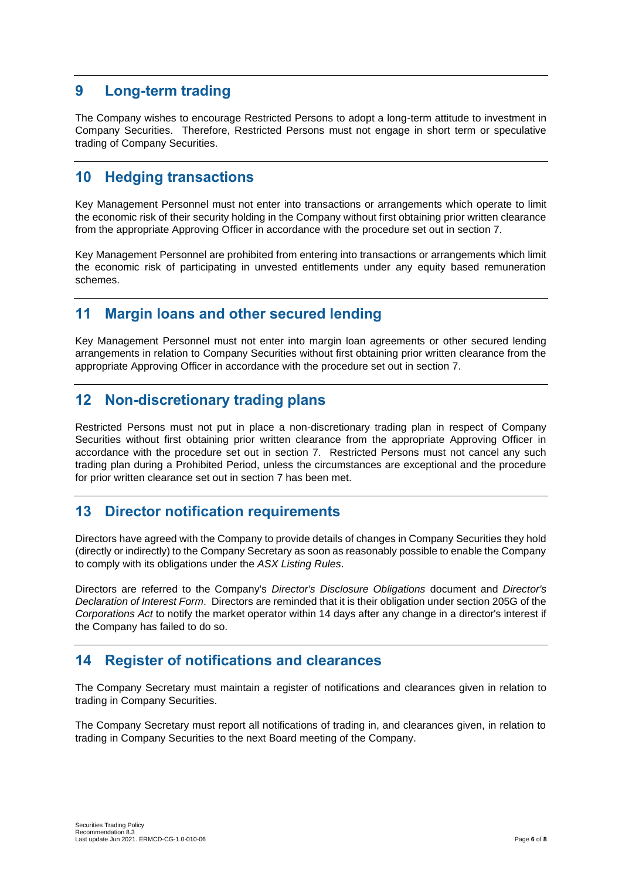## **9 Long-term trading**

The Company wishes to encourage Restricted Persons to adopt a long-term attitude to investment in Company Securities. Therefore, Restricted Persons must not engage in short term or speculative trading of Company Securities.

## **10 Hedging transactions**

Key Management Personnel must not enter into transactions or arrangements which operate to limit the economic risk of their security holding in the Company without first obtaining prior written clearance from the appropriate Approving Officer in accordance with the procedure set out in section 7.

Key Management Personnel are prohibited from entering into transactions or arrangements which limit the economic risk of participating in unvested entitlements under any equity based remuneration schemes.

## **11 Margin loans and other secured lending**

Key Management Personnel must not enter into margin loan agreements or other secured lending arrangements in relation to Company Securities without first obtaining prior written clearance from the appropriate Approving Officer in accordance with the procedure set out in section 7.

## **12 Non-discretionary trading plans**

Restricted Persons must not put in place a non-discretionary trading plan in respect of Company Securities without first obtaining prior written clearance from the appropriate Approving Officer in accordance with the procedure set out in section 7. Restricted Persons must not cancel any such trading plan during a Prohibited Period, unless the circumstances are exceptional and the procedure for prior written clearance set out in section 7 has been met.

## **13 Director notification requirements**

Directors have agreed with the Company to provide details of changes in Company Securities they hold (directly or indirectly) to the Company Secretary as soon as reasonably possible to enable the Company to comply with its obligations under the *ASX Listing Rules*.

Directors are referred to the Company's *Director's Disclosure Obligations* document and *Director's Declaration of Interest Form*. Directors are reminded that it is their obligation under section 205G of the *Corporations Act* to notify the market operator within 14 days after any change in a director's interest if the Company has failed to do so.

## **14 Register of notifications and clearances**

The Company Secretary must maintain a register of notifications and clearances given in relation to trading in Company Securities.

The Company Secretary must report all notifications of trading in, and clearances given, in relation to trading in Company Securities to the next Board meeting of the Company.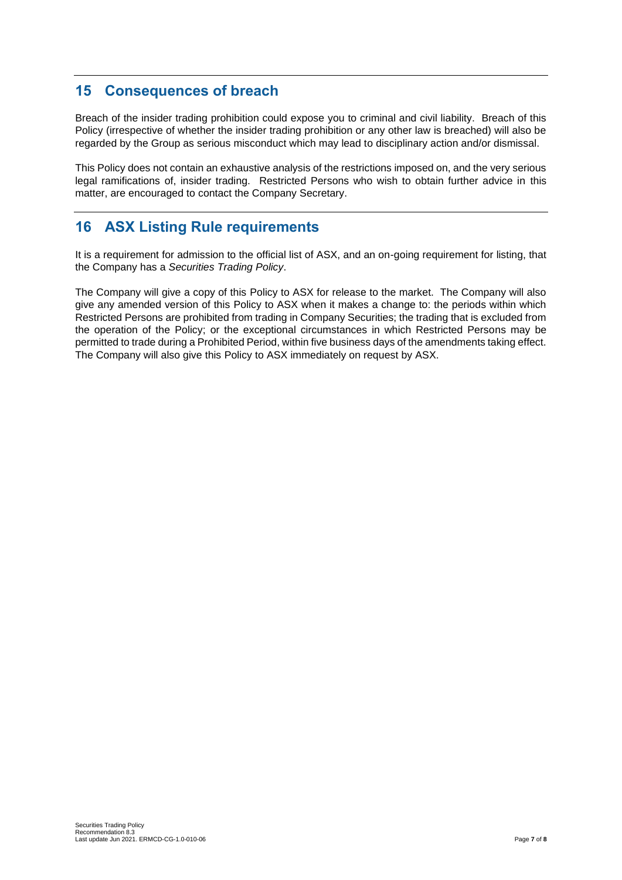## **15 Consequences of breach**

Breach of the insider trading prohibition could expose you to criminal and civil liability. Breach of this Policy (irrespective of whether the insider trading prohibition or any other law is breached) will also be regarded by the Group as serious misconduct which may lead to disciplinary action and/or dismissal.

This Policy does not contain an exhaustive analysis of the restrictions imposed on, and the very serious legal ramifications of, insider trading. Restricted Persons who wish to obtain further advice in this matter, are encouraged to contact the Company Secretary.

## **16 ASX Listing Rule requirements**

It is a requirement for admission to the official list of ASX, and an on-going requirement for listing, that the Company has a *Securities Trading Policy*.

The Company will give a copy of this Policy to ASX for release to the market. The Company will also give any amended version of this Policy to ASX when it makes a change to: the periods within which Restricted Persons are prohibited from trading in Company Securities; the trading that is excluded from the operation of the Policy; or the exceptional circumstances in which Restricted Persons may be permitted to trade during a Prohibited Period, within five business days of the amendments taking effect. The Company will also give this Policy to ASX immediately on request by ASX.